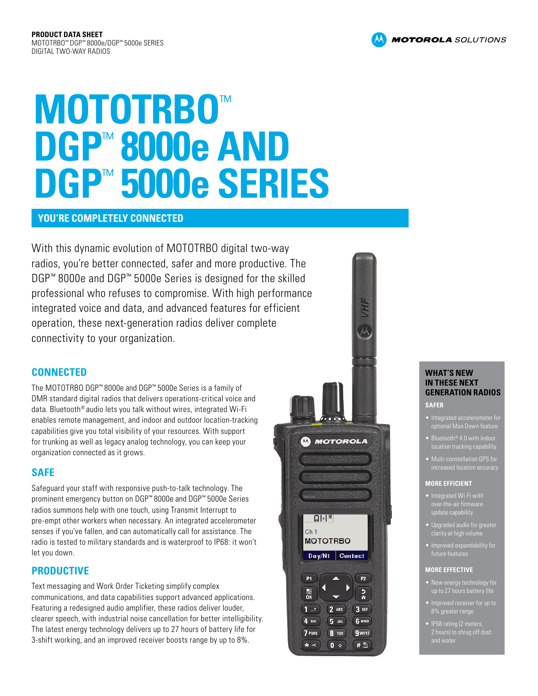# **MOTOTRBO**™ **DGP**™ **8000e AND DGP**™ **5000e SERIES**

## **YOU'RE COMPLETELY CONNECTED**

With this dynamic evolution of MOTOTRBO digital two-way radios, you're better connected, safer and more productive. The DGP™ 8000e and DGP™ 5000e Series is designed for the skilled professional who refuses to compromise. With high performance integrated voice and data, and advanced features for efficient operation, these next-generation radios deliver complete connectivity to your organization.

# **CONNECTED**

The MOTOTRBO DGP™ 8000e and DGP™ 5000e Series is a family of DMR standard digital radios that delivers operations-critical voice and data. Bluetooth® audio lets you talk without wires, integrated Wi-Fi enables remote management, and indoor and outdoor location-tracking capabilities give you total visibility of your resources. With support for trunking as well as legacy analog technology, you can keep your organization connected as it grows.

# **SAFE**

Safeguard your staff with responsive push-to-talk technology. The prominent emergency button on DGP™ 8000e and DGP™ 5000e Series radios summons help with one touch, using Transmit Interrupt to pre-empt other workers when necessary. An integrated accelerometer senses if you've fallen, and can automatically call for assistance. The radio is tested to military standards and is waterproof to IP68: it won't let you down.

# **PRODUCTIVE**

Text messaging and Work Order Ticketing simplify complex communications, and data capabilities support advanced applications. Featuring a redesigned audio amplifier, these radios deliver louder, clearer speech, with industrial noise cancellation for better intelligibility. The latest energy technology delivers up to 27 hours of battery life for 3-shift working, and an improved receiver boosts range by up to 8%.



#### **WHAT'S NEW IN THESE NEXT GENERATION RADIOS**

#### **SAFER**

- Integrated accelerometer for optional Man Down feature
- Bluetooth® 4.0 with indoor location tracking capability
- increased <u>location accu</u><br>increased <u>location accu</u>

#### **MORE EFFICIENT**

- Integrated Wi-Fi with update capability
- 
- Improved expandability for future features

#### **MORE EFFECTIVE**

- New energy technology for
- 8% greater range
- IP68 rating (2 meters

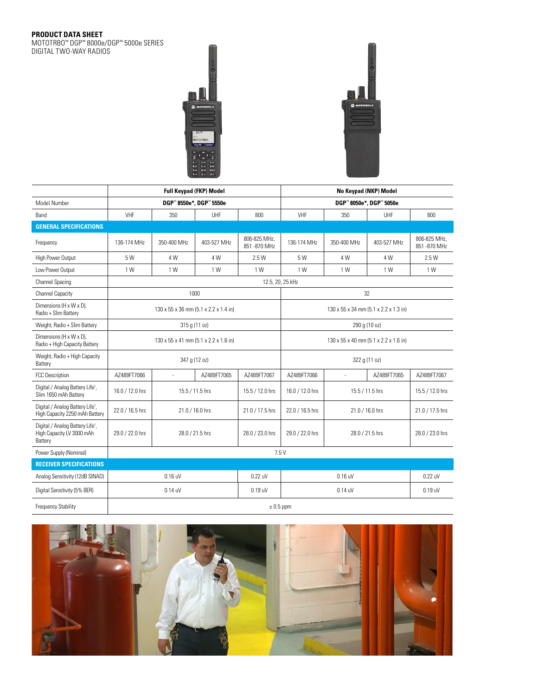#### **PRODUCT DATA SHEET**

MOTOTRBO™ DGP™ 8000e/DGP™ 5000e SERIES DIGITAL TWO-WAY RADIOS



|                                                                                      | <b>Full Keypad (FKP) Model</b>        |                 |                 |                             | No Keypad (NKP) Model                 |                 |             |                               |  |  |
|--------------------------------------------------------------------------------------|---------------------------------------|-----------------|-----------------|-----------------------------|---------------------------------------|-----------------|-------------|-------------------------------|--|--|
| <b>Model Number</b>                                                                  | DGP™8550e*, DGP™5550e                 |                 |                 |                             | DGP™ 8050e*, DGP™ 5050e               |                 |             |                               |  |  |
| Band                                                                                 | VHF                                   | 350             | UHF             | 800                         | VHF                                   | 350             | UHF         | 800                           |  |  |
| <b>GENERAL SPECIFICATIONS</b>                                                        |                                       |                 |                 |                             |                                       |                 |             |                               |  |  |
| Frequency                                                                            | 136-174 MHz                           | 350-400 MHz     | 403-527 MHz     | 806-825 MHz,<br>851-870 MHz | 136-174 MHz                           | 350-400 MHz     | 403-527 MHz | 806-825 MHz,<br>851 - 870 MHz |  |  |
| High Power Output                                                                    | 5 W                                   | 4 W             | 4 W             | 2.5 W                       | 5 W                                   | 4 W             | 4 W         | 2.5 W                         |  |  |
| Low Power Output                                                                     | 1 W                                   | 1 W             | 1 W             | 1 W                         | 1 W                                   | 1 W             | 1 W         | 1 W                           |  |  |
| <b>Channel Spacing</b>                                                               | 12.5, 20, 25 kHz                      |                 |                 |                             |                                       |                 |             |                               |  |  |
| <b>Channel Capacity</b>                                                              | 1000                                  |                 |                 |                             | 32                                    |                 |             |                               |  |  |
| Dimensions (H x W x D),<br>Radio + Slim Battery                                      | 130 x 55 x 36 mm (5.1 x 2.2 x 1.4 in) |                 |                 |                             | 130 x 55 x 34 mm (5.1 x 2.2 x 1.3 in) |                 |             |                               |  |  |
| Weight, Radio + Slim Battery                                                         | 315 g (11 oz)                         |                 |                 |                             | 290 g (10 oz)                         |                 |             |                               |  |  |
| Dimensions (H x W x D),<br>Radio + High Capacity Battery                             | 130 x 55 x 41 mm (5.1 x 2.2 x 1.6 in) |                 |                 |                             | 130 x 55 x 40 mm (5.1 x 2.2 x 1.6 in) |                 |             |                               |  |  |
| Weight, Radio + High Capacity<br>Battery                                             | 347 g (12 oz)                         |                 |                 |                             | 322 g (11 oz)                         |                 |             |                               |  |  |
| <b>FCC Description</b>                                                               | AZ489FT7066                           | ä,              | AZ489FT7065     | AZ489FT7067                 | AZ489FT7066                           | ä,              | AZ489FT7065 | AZ489FT7067                   |  |  |
| Digital / Analog Battery Life <sup>1</sup> ,<br>Slim 1650 mAh Battery                | 16.0 / 12.0 hrs                       | 15.5 / 11.5 hrs |                 | 15.5 / 12.0 hrs             | 16.0 / 12.0 hrs                       | 15.5 / 11.5 hrs |             | 15.5 / 12.0 hrs               |  |  |
| Digital / Analog Battery Life <sup>1</sup> ,<br>High Capacity 2250 mAh Battery       | 22.0 / 16.5 hrs                       |                 | 21.0 / 16.0 hrs | 21.0 / 17.5 hrs             | 22.0 / 16.5 hrs                       | 21.0 / 16.0 hrs |             | 21.0 / 17.5 hrs               |  |  |
| Digital / Analog Battery Life <sup>1</sup> ,<br>High Capacity LV 3000 mAh<br>Battery | 29.0 / 22.0 hrs                       | 28.0 / 21.5 hrs |                 | 28.0 / 23.0 hrs             | 29.0 / 22.0 hrs                       | 28.0 / 21.5 hrs |             | 28.0 / 23.0 hrs               |  |  |
| Power Supply (Nominal)                                                               | 7.5V                                  |                 |                 |                             |                                       |                 |             |                               |  |  |
| <b>RECEIVER SPECIFICATIONS</b>                                                       |                                       |                 |                 |                             |                                       |                 |             |                               |  |  |
| Analog Sensitivity (12dB SINAD)                                                      | $0.16$ uV                             |                 |                 | 0.22 uV                     | $0.16$ uV                             |                 |             | 0.22 uV                       |  |  |
| Digital Sensitivity (5% BER)                                                         | $0.14$ uV                             |                 |                 | $0.19$ uV                   |                                       | $0.19$ uV       |             |                               |  |  |
| Frequency Stability                                                                  | $\pm$ 0.5 ppm                         |                 |                 |                             |                                       |                 |             |                               |  |  |

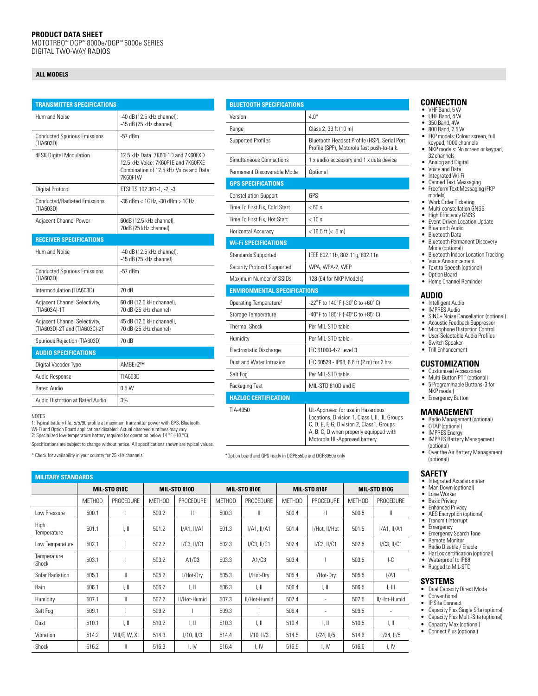#### **PRODUCT DATA SHEET**

MOTOTRBO™ DGP™ 8000e/DGP™ 5000e SERIES DIGITAL TWO-WAY RADIOS

#### **ALL MODELS**

| <b>TRANSMITTER SPECIFICATIONS</b>                              |                                                                                                                                 |  |  |  |  |
|----------------------------------------------------------------|---------------------------------------------------------------------------------------------------------------------------------|--|--|--|--|
| Hum and Noise                                                  | -40 dB (12.5 kHz channel),<br>-45 dB (25 kHz channel)                                                                           |  |  |  |  |
| <b>Conducted Spurious Emissions</b><br>(TIA603D)               | $-57$ dBm                                                                                                                       |  |  |  |  |
| <b>4FSK Digital Modulation</b>                                 | 12.5 kHz Data: 7K60F1D and 7K60FXD<br>12.5 kHz Voice: 7K60F1F and 7K60FXF<br>Combination of 12.5 kHz Voice and Data:<br>7K60F1W |  |  |  |  |
| Digital Protocol                                               | ETSI TS 102 361-1, -2, -3                                                                                                       |  |  |  |  |
| <b>Conducted/Radiated Emissions</b><br>(TIA603D)               | -36 dBm < 1GHz, -30 dBm > 1GHz                                                                                                  |  |  |  |  |
| Adjacent Channel Power                                         | 60dB (12.5 kHz channel),<br>70dB (25 kHz channel)                                                                               |  |  |  |  |
| <b>RECEIVER SPECIFICATIONS</b>                                 |                                                                                                                                 |  |  |  |  |
| Hum and Noise                                                  | -40 dB (12.5 kHz channel),<br>-45 dB (25 kHz channel)                                                                           |  |  |  |  |
| <b>Conducted Spurious Emissions</b><br>(TIA603D)               | $-57$ dBm                                                                                                                       |  |  |  |  |
| Intermodulation (TIA603D)                                      | 70 dB                                                                                                                           |  |  |  |  |
| Adjacent Channel Selectivity,<br>(TIA603A)-1T                  | 60 dB (12.5 kHz channel),<br>70 dB (25 kHz channel)                                                                             |  |  |  |  |
| Adjacent Channel Selectivity,<br>(TIA603D)-2T and (TIA603C)-2T | 45 dB (12.5 kHz channel),<br>70 dB (25 kHz channel)                                                                             |  |  |  |  |
| Spurious Rejection (TIA603D)                                   | 70 dB                                                                                                                           |  |  |  |  |
| <b>AUDIO SPECIFICATIONS</b>                                    |                                                                                                                                 |  |  |  |  |
| Digital Vocoder Type                                           | AMBF+2™                                                                                                                         |  |  |  |  |
| Audio Response                                                 | TIA603D                                                                                                                         |  |  |  |  |
| Rated Audio                                                    | 0.5W                                                                                                                            |  |  |  |  |
| Audio Distortion at Rated Audio                                | 3%                                                                                                                              |  |  |  |  |

NOTES

1: Typical battery life, 5/5/90 profile at maximum transmitter power with GPS, Bluetooth, Wi-Fi and Option Board applications disabled. Actual observed runtimes may vary. 2: Specialized low-temperature battery required for operation below 14 °F (-10 °C).

Specifications are subject to change without notice. All specifications shown are typical values.

| <b>BLUETOOTH SPECIFICATIONS</b>     |                                                                                                                                  |  |  |  |  |  |
|-------------------------------------|----------------------------------------------------------------------------------------------------------------------------------|--|--|--|--|--|
| Version                             | $4.0*$                                                                                                                           |  |  |  |  |  |
| Range                               | Class 2, 33 ft (10 m)                                                                                                            |  |  |  |  |  |
| <b>Supported Profiles</b>           | Bluetooth Headset Profile (HSP), Serial Port<br>Profile (SPP), Motorola fast push-to-talk.                                       |  |  |  |  |  |
| Simultaneous Connections            | 1 x audio accessory and 1 x data device                                                                                          |  |  |  |  |  |
| Permanent Discoverable Mode         | Optional                                                                                                                         |  |  |  |  |  |
| <b>GPS SPECIFICATIONS</b>           |                                                                                                                                  |  |  |  |  |  |
| <b>Constellation Support</b>        | GPS                                                                                                                              |  |  |  |  |  |
| Time To First Fix. Cold Start       | $<$ 60 s                                                                                                                         |  |  |  |  |  |
| Time To First Fix. Hot Start        | < 10 s                                                                                                                           |  |  |  |  |  |
| Horizontal Accuracy                 | $<$ 16.5 ft ( $<$ 5 m)                                                                                                           |  |  |  |  |  |
| <b>Wi-Fi SPECIFICATIONS</b>         |                                                                                                                                  |  |  |  |  |  |
| <b>Standards Supported</b>          | IEEE 802.11b, 802.11g, 802.11n                                                                                                   |  |  |  |  |  |
| Security Protocol Supported         | WPA, WPA-2, WEP                                                                                                                  |  |  |  |  |  |
| Maximum Number of SSIDs             | 128 (64 for NKP Models)                                                                                                          |  |  |  |  |  |
| <b>ENVIRONMENTAL SPECIFICATIONS</b> |                                                                                                                                  |  |  |  |  |  |
| Operating Temperature <sup>2</sup>  | -22°F to 140°F (-30°C to +60°C)                                                                                                  |  |  |  |  |  |
| Storage Temperature                 | -40°F to 185°F (-40°C to +85°C)                                                                                                  |  |  |  |  |  |
| <b>Thermal Shock</b>                | Per MIL-STD table                                                                                                                |  |  |  |  |  |
| Humidity                            | Per MIL-STD table                                                                                                                |  |  |  |  |  |
| Electrostatic Discharge             | IFC 61000-4-2 Level 3                                                                                                            |  |  |  |  |  |
| Dust and Water Intrusion            | IEC 60529 - IP68, 6.6 ft (2 m) for 2 hrs                                                                                         |  |  |  |  |  |
| Salt Fog                            | Per MIL-STD table                                                                                                                |  |  |  |  |  |
| Packaging Test                      | MIL-STD 810D and E                                                                                                               |  |  |  |  |  |
| <b>HAZLOC CERTIFICATION</b>         |                                                                                                                                  |  |  |  |  |  |
| TIA-4950                            | UL-Approved for use in Hazardous<br>Locations, Division 1, Class I, II, III, Groups<br>C. D. E. F. G: Division 2. Class1. Groups |  |  |  |  |  |

A, B, C, D when properly equipped with Motorola UL-Approved battery.

| <b>MILITARY STANDARDS</b> |               |                         |               |                  |               |                           |               |                           |               |                           |
|---------------------------|---------------|-------------------------|---------------|------------------|---------------|---------------------------|---------------|---------------------------|---------------|---------------------------|
|                           | MIL-STD 810C  |                         | MIL-STD 810D  |                  | MIL-STD 810E  |                           | MIL-STD 810F  |                           | MIL-STD 810G  |                           |
|                           | <b>METHOD</b> | PROCEDURE               | <b>MFTHOD</b> | PROCEDURE        | <b>METHOD</b> | <b>PROCEDURE</b>          | <b>MFTHOD</b> | <b>PROCEDURE</b>          | <b>MFTHOD</b> | PROCEDURE                 |
| Low Pressure              | 500.1         |                         | 500.2         | Ш                | 500.3         | $\mathsf{II}$             | 500.4         | Ш                         | 500.5         | $\mathsf{II}$             |
| High<br>Temperature       | 501.1         | $\mathsf{L} \mathsf{I}$ | 501.2         | $I/A1$ , $II/A1$ | 501.3         | I/A1, II/A1               | 501.4         | I/Hot, II/Hot             | 501.5         | I/A1, II/A1               |
| Low Temperature           | 502.1         |                         | 502.2         | $I/C3$ , $II/C1$ | 502.3         | $I/C3$ , $II/C1$          | 502.4         | $I/C3$ , $II/C1$          | 502.5         | I/C3, II/C1               |
| Temperature<br>Shock      | 503.1         |                         | 503.2         | A1/C3            | 503.3         | A1/C3                     | 503.4         |                           | 503.5         | $-C$                      |
| Solar Radiation           | 505.1         | Ш                       | 505.2         | I/Hot-Dry        | 505.3         | I/Hot-Dry                 | 505.4         | I/Hot-Drv                 | 505.5         | I/A1                      |
| Rain                      | 506.1         | $\mathsf{L} \mathsf{I}$ | 506.2         | I, II            | 506.3         | I, II                     | 506.4         | I, III                    | 506.5         | $\parallel$ , $\parallel$ |
| Humidity                  | 507.1         | $\mathbf{  }$           | 507.2         | II/Hot-Humid     | 507.3         | II/Hot-Humid              | 507.4         | ٠                         | 507.5         | II/Hot-Humid              |
| Salt Fog                  | 509.1         |                         | 509.2         |                  | 509.3         |                           | 509.4         | ٠                         | 509.5         |                           |
| Dust                      | 510.1         | I, II                   | 510.2         | I, II            | 510.3         | $\parallel$ , $\parallel$ | 510.4         | $\parallel$ , $\parallel$ | 510.5         | $\parallel$ , $\parallel$ |
| Vibration                 | 514.2         | VIII/F, W, XI           | 514.3         | $I/10$ , $II/3$  | 514.4         | $1/10$ , $11/3$           | 514.5         | 1/24, 11/5                | 514.6         | $1/24$ , $1/5$            |
| Shock                     | 516.2         | Ш                       | 516.3         | I, IV            | 516.4         | I, IV                     | 516.5         | I, IV                     | 516.6         | I, IV                     |

#### **CONNECTION**

- VHF Band, 5 W
- UHF Band, 4 W • 350 Band, 4W
- 800 Band, 2.5 W
- FKP models: Colour screen, full keypad, 1000 channels
- NKP models: No screen or keypad, 32 channels
- Analog and Digital
- Voice and Data
- Integrated Wi-Fi
- Canned Text Messaging Freeform Text Messaging (FKP models)
- Work Order Ticketing Multi-constellation GNSS
- 
- High Efficiency GNSS
- Event-Driven Location Update • Bluetooth Audio
- Bluetooth Data
- Bluetooth Permanent Discovery
- Mode (optional) • Bluetooth Indoor Location Tracking<br>• Voice Announcement
- Voice Announcement
- Text to Speech (optional)<br>• Ontion Board
- Option Board • Home Channel Reminder

# **AUDIO**

- Intelligent Audio IMPRES Audio
- SINC+ Noise Cancellation (optional)
- Acoustic Feedback Suppressor
- Microphone Distortion Control
- User-Selectable Audio Profiles • Switch Speaker
- 
- Trill Enhancement

#### **CUSTOMIZATION**

- Customized Accessories
- Multi-Button PTT (optional)
- 5 Programmable Buttons (3 for NKP model)
- Emergency Button

#### **MANAGEMENT**

- Radio Management (optional)
- OTAP (optional)<br>• IMPRES Energy
- IMPRES Energy • IMPRES Battery Management (optional)
- Over the Air Battery Management (optional)

#### **SAFETY**

- Integrated Accelerometer Man Down (optional)
- 
- Lone Worker
- Basic Privacy<br>• Enhanced Priv
- Enhanced Privacy<br>• AFS Encryption In
- AES Encryption (optional) Transmit Interrupt
- Emergency<br>• Emergency
- Emergency Search Tone
- Remote Monitor • Radio Disable / Enable
- HazLoc certification (optional)
- Waterproof to IP68
- Rugged to MIL-STD

#### **SYSTEMS**

- Dual Capacity Direct Mode
- Conventional
- IP Site Connect
- [Capacity Plus](http://www.motorolasolutions.com/en_us/products/mototrbo-systems/mototrbo-private-systems/mototrbo-capacity-plus.html) Single Site (optional) • [Capacity Plus](http://www.motorolasolutions.com/en_us/products/mototrbo-systems/mototrbo-private-systems/mototrbo-capacity-plus.html) Multi-Site (optional)<br>• Capacity Max (optional)
- Capacity Max (optional)
- [Connect Plus](http://www.motorolasolutions.com/en_us/products/mototrbo-systems/mototrbo-private-systems/mototrbo-connect-plus.html) (optional)
- 
- 
- \* Check for availability in your country for 25 kHz channels \*Option board and GPS ready in DGP8550e and DGP8050e only